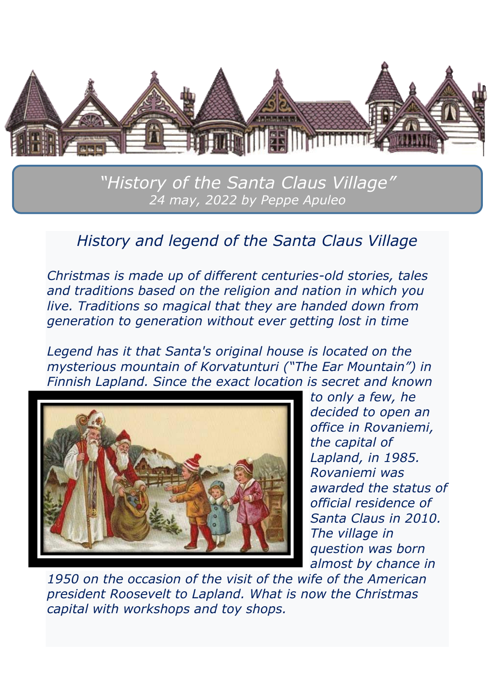

*"History of the Santa Claus Village" 24 may, 2022 by Peppe Apuleo*

#### *History and legend of the Santa Claus Village*

*Christmas is made up of different centuries-old stories, tales and traditions based on the religion and nation in which you live. Traditions so magical that they are handed down from generation to generation without ever getting lost in time*

*Legend has it that Santa's original house is located on the mysterious mountain of Korvatunturi ("The Ear Mountain") in Finnish Lapland. Since the exact location is secret and known* 



*to only a few, he decided to open an office in Rovaniemi, the capital of Lapland, in 1985. Rovaniemi was awarded the status of official residence of Santa Claus in 2010. The village in question was born almost by chance in* 

*1950 on the occasion of the visit of the wife of the American president Roosevelt to Lapland. What is now the Christmas capital with workshops and toy shops.*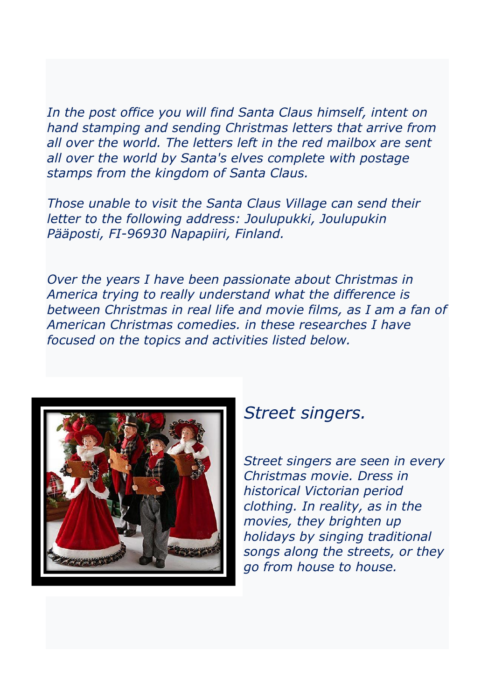In the post office you will find Santa Claus himself, intent on *hand stamping and sending Christmas letters that arrive from all over the world. The letters left in the red mailbox are sent all over the world by Santa's elves complete with postage stamps from the kingdom of Santa Claus.*

*Those unable to visit the Santa Claus Village can send their letter to the following address: Joulupukki, Joulupukin Pääposti, FI-96930 Napapiiri, Finland.*

*Over the years I have been passionate about Christmas in America trying to really understand what the difference is between Christmas in real life and movie films, as I am a fan of American Christmas comedies. in these researches I have focused on the topics and activities listed below.*



#### *Street singers.*

*Street singers are seen in every Christmas movie. Dress in historical Victorian period clothing. In reality, as in the movies, they brighten up holidays by singing traditional songs along the streets, or they go from house to house.*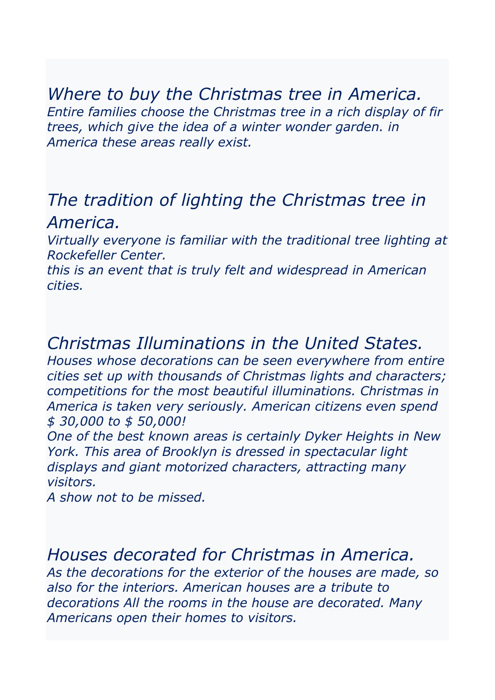#### *Where to buy the Christmas tree in America. Entire families choose the Christmas tree in a rich display of fir trees, which give the idea of a winter wonder garden. in America these areas really exist.*

# *The tradition of lighting the Christmas tree in America.*

*Virtually everyone is familiar with the traditional tree lighting at Rockefeller Center.*

*this is an event that is truly felt and widespread in American cities.*

# *Christmas Illuminations in the United States.*

*Houses whose decorations can be seen everywhere from entire cities set up with thousands of Christmas lights and characters; competitions for the most beautiful illuminations. Christmas in America is taken very seriously. American citizens even spend \$ 30,000 to \$ 50,000!*

*One of the best known areas is certainly Dyker Heights in New York. This area of Brooklyn is dressed in spectacular light displays and giant motorized characters, attracting many visitors.*

*A show not to be missed.*

### *Houses decorated for Christmas in America.*

*As the decorations for the exterior of the houses are made, so also for the interiors. American houses are a tribute to decorations All the rooms in the house are decorated. Many Americans open their homes to visitors.*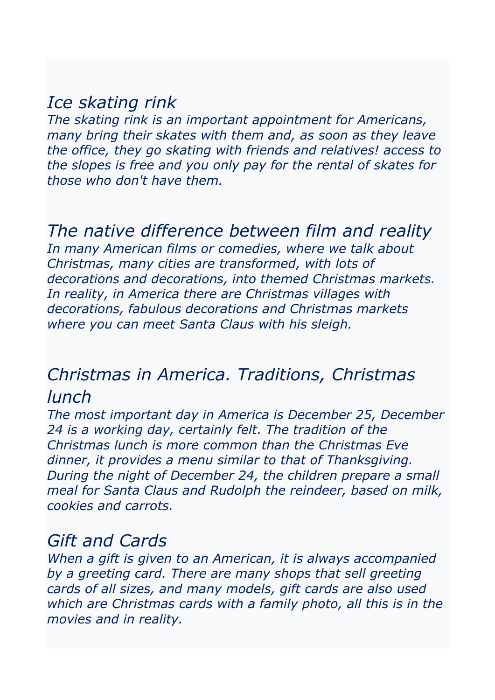## *Ice skating rink*

*The skating rink is an important appointment for Americans, many bring their skates with them and, as soon as they leave the office, they go skating with friends and relatives! access to the slopes is free and you only pay for the rental of skates for those who don't have them.*

# *The native difference between film and reality*

*In many American films or comedies, where we talk about Christmas, many cities are transformed, with lots of decorations and decorations, into themed Christmas markets. In reality, in America there are Christmas villages with decorations, fabulous decorations and Christmas markets where you can meet Santa Claus with his sleigh.*

# *Christmas in America. Traditions, Christmas lunch*

*The most important day in America is December 25, December 24 is a working day, certainly felt. The tradition of the Christmas lunch is more common than the Christmas Eve dinner, it provides a menu similar to that of Thanksgiving. During the night of December 24, the children prepare a small meal for Santa Claus and Rudolph the reindeer, based on milk, cookies and carrots.*

### *Gift and Cards*

*When a gift is given to an American, it is always accompanied*  by a greeting card. There are many shops that sell greeting *cards of all sizes, and many models, gift cards are also used which are Christmas cards with a family photo, all this is in the movies and in reality.*